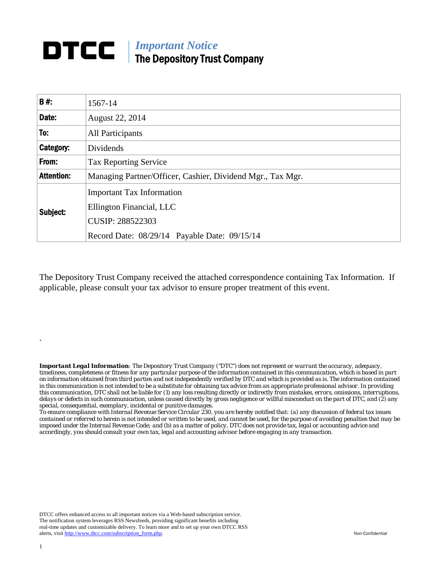## *Important Notice*  DTCC | The Depository Trust Company

| <b>B#:</b>        | 1567-14                                                                                                                          |
|-------------------|----------------------------------------------------------------------------------------------------------------------------------|
| Date:             | August 22, 2014                                                                                                                  |
| To:               | All Participants                                                                                                                 |
| Category:         | Dividends                                                                                                                        |
| From:             | <b>Tax Reporting Service</b>                                                                                                     |
| <b>Attention:</b> | Managing Partner/Officer, Cashier, Dividend Mgr., Tax Mgr.                                                                       |
| Subject:          | <b>Important Tax Information</b><br>Ellington Financial, LLC<br>CUSIP: 288522303<br>Record Date: 08/29/14 Payable Date: 09/15/14 |
|                   |                                                                                                                                  |

The Depository Trust Company received the attached correspondence containing Tax Information. If applicable, please consult your tax advisor to ensure proper treatment of this event.

*Important Legal Information: The Depository Trust Company ("DTC") does not represent or warrant the accuracy, adequacy, timeliness, completeness or fitness for any particular purpose of the information contained in this communication, which is based in part on information obtained from third parties and not independently verified by DTC and which is provided as is. The information contained in this communication is not intended to be a substitute for obtaining tax advice from an appropriate professional advisor. In providing this communication, DTC shall not be liable for (1) any loss resulting directly or indirectly from mistakes, errors, omissions, interruptions, delays or defects in such communication, unless caused directly by gross negligence or willful misconduct on the part of DTC, and (2) any special, consequential, exemplary, incidental or punitive damages.* 

*To ensure compliance with Internal Revenue Service Circular 230, you are hereby notified that: (a) any discussion of federal tax issues contained or referred to herein is not intended or written to be used, and cannot be used, for the purpose of avoiding penalties that may be imposed under the Internal Revenue Code; and (b) as a matter of policy, DTC does not provide tax, legal or accounting advice and accordingly, you should consult your own tax, legal and accounting advisor before engaging in any transaction.*

DTCC offers enhanced access to all important notices via a Web-based subscription service. The notification system leverages RSS Newsfeeds, providing significant benefits including real-time updates and customizable delivery. To learn more and to set up your own DTCC RSS alerts, visit http://www.dtcc.com/subscription\_form.php. Non-Confidential

.